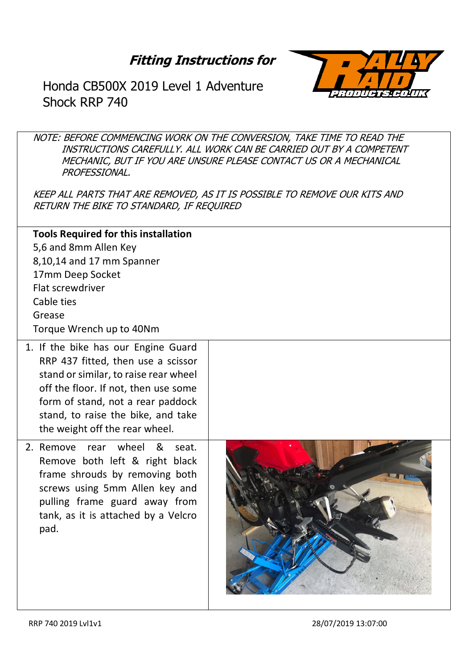## **Fitting Instructions for**



Honda CB500X 2019 Level 1 Adventure Shock RRP 740

NOTE: BEFORE COMMENCING WORK ON THE CONVERSION, TAKE TIME TO READ THE INSTRUCTIONS CAREFULLY. ALL WORK CAN BE CARRIED OUT BY A COMPETENT MECHANIC, BUT IF YOU ARE UNSURE PLEASE CONTACT US OR A MECHANICAL PROFESSIONAL.

KEEP ALL PARTS THAT ARE REMOVED, AS IT IS POSSIBLE TO REMOVE OUR KITS AND RETURN THE BIKE TO STANDARD, IF REQUIRED

**Tools Required for this installation** 5,6 and 8mm Allen Key 8,10,14 and 17 mm Spanner 17mm Deep Socket Flat screwdriver Cable ties Grease Torque Wrench up to 40Nm

- 1. If the bike has our Engine Guard RRP 437 fitted, then use a scissor stand or similar, to raise rear wheel off the floor. If not, then use some form of stand, not a rear paddock stand, to raise the bike, and take the weight off the rear wheel.
- 2. Remove rear wheel & seat. Remove both left & right black frame shrouds by removing both screws using 5mm Allen key and pulling frame guard away from tank, as it is attached by a Velcro pad.

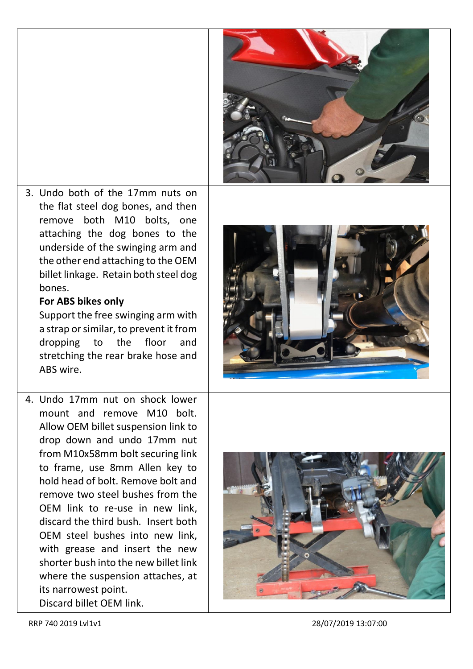

3. Undo both of the 17mm nuts on the flat steel dog bones, and then remove both M10 bolts, one attaching the dog bones to the underside of the swinging arm and the other end attaching to the OEM billet linkage. Retain both steel dog bones.

## **For ABS bikes only**

Support the free swinging arm with a strap or similar, to prevent it from dropping to the floor and stretching the rear brake hose and ABS wire.

4. Undo 17mm nut on shock lower mount and remove M10 bolt. Allow OEM billet suspension link to drop down and undo 17mm nut from M10x58mm bolt securing link to frame, use 8mm Allen key to hold head of bolt. Remove bolt and remove two steel bushes from the OEM link to re-use in new link, discard the third bush. Insert both OEM steel bushes into new link, with grease and insert the new shorter bush into the new billet link where the suspension attaches, at its narrowest point. Discard billet OEM link.





RRP 740 2019 Lvl1v1 28/07/2019 13:07:00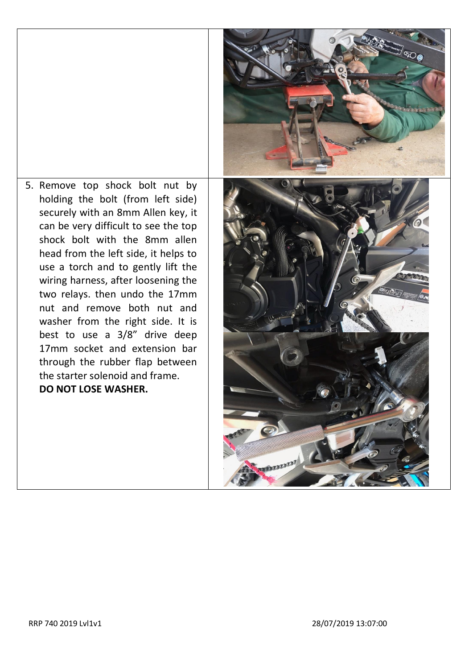5. Remove top shock bolt nut by holding the bolt (from left side) securely with an 8mm Allen key, it can be very difficult to see the top shock bolt with the 8mm allen head from the left side, it helps to use a torch and to gently lift the wiring harness, after loosening the two relays. then undo the 17mm nut and remove both nut and washer from the right side. It is best to use a 3/8" drive deep 17mm socket and extension bar through the rubber flap between the starter solenoid and frame. **DO NOT LOSE WASHER.**

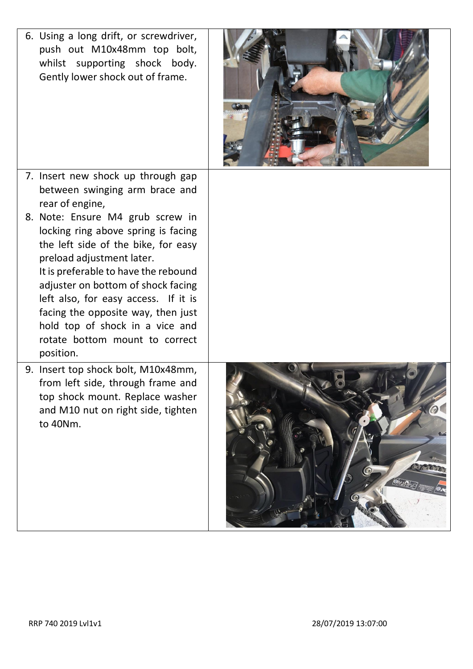| 6. Using a long drift, or screwdriver,<br>push out M10x48mm top bolt,<br>whilst supporting shock body.<br>Gently lower shock out of frame.                                                                                                                                                                                                                                                |  |
|-------------------------------------------------------------------------------------------------------------------------------------------------------------------------------------------------------------------------------------------------------------------------------------------------------------------------------------------------------------------------------------------|--|
| 7. Insert new shock up through gap<br>between swinging arm brace and<br>rear of engine,                                                                                                                                                                                                                                                                                                   |  |
| 8. Note: Ensure M4 grub screw in<br>locking ring above spring is facing<br>the left side of the bike, for easy<br>preload adjustment later.<br>It is preferable to have the rebound<br>adjuster on bottom of shock facing<br>left also, for easy access. If it is<br>facing the opposite way, then just<br>hold top of shock in a vice and<br>rotate bottom mount to correct<br>position. |  |
| 9. Insert top shock bolt, M10x48mm,<br>from left side, through frame and<br>top shock mount. Replace washer<br>and M10 nut on right side, tighten<br>to 40Nm.                                                                                                                                                                                                                             |  |